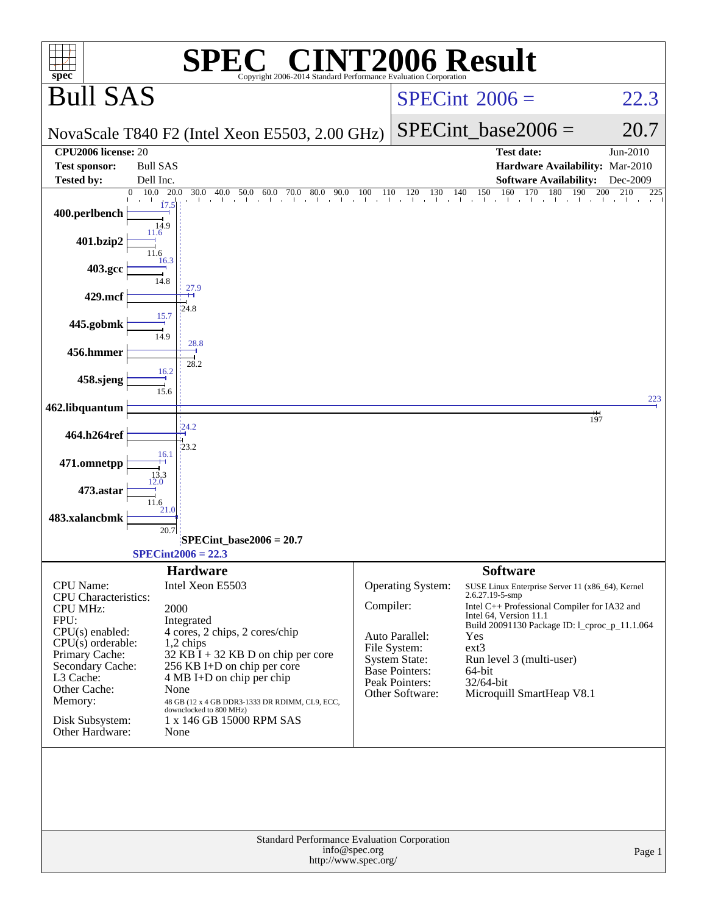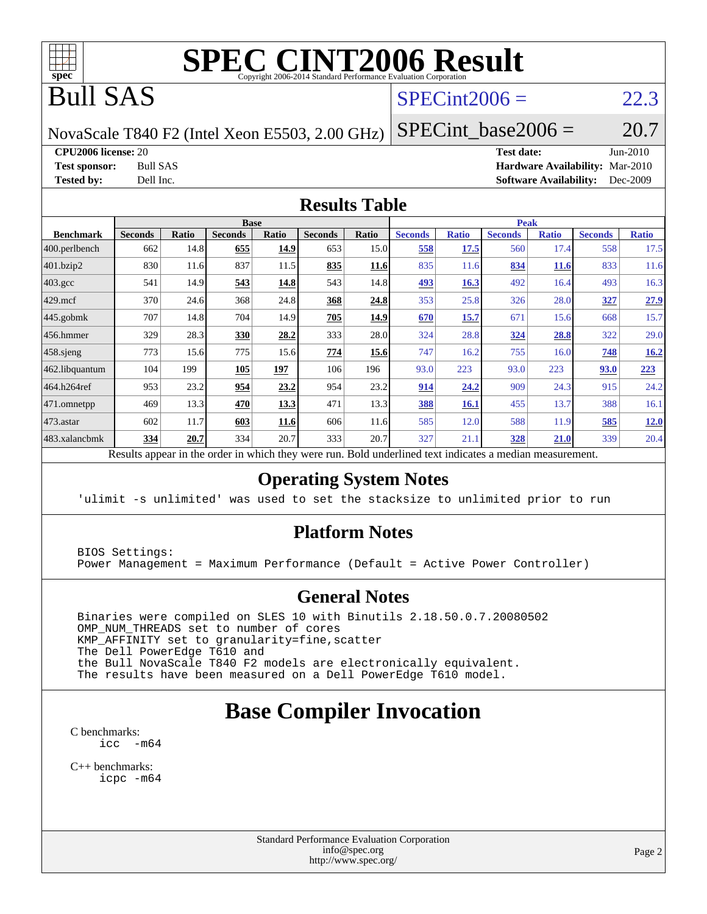

# **[SPEC CINT2006 Result](http://www.spec.org/auto/cpu2006/Docs/result-fields.html#SPECCINT2006Result)**

# Bull SAS

## $SPECint2006 = 22.3$  $SPECint2006 = 22.3$

NovaScale T840 F2 (Intel Xeon E5503, 2.00 GHz)

SPECint base2006 =  $20.7$ 

**[CPU2006 license:](http://www.spec.org/auto/cpu2006/Docs/result-fields.html#CPU2006license)** 20 **[Test date:](http://www.spec.org/auto/cpu2006/Docs/result-fields.html#Testdate)** Jun-2010 **[Test sponsor:](http://www.spec.org/auto/cpu2006/Docs/result-fields.html#Testsponsor)** Bull SAS **[Hardware Availability:](http://www.spec.org/auto/cpu2006/Docs/result-fields.html#HardwareAvailability)** Mar-2010 **[Tested by:](http://www.spec.org/auto/cpu2006/Docs/result-fields.html#Testedby)** Dell Inc. **[Software Availability:](http://www.spec.org/auto/cpu2006/Docs/result-fields.html#SoftwareAvailability)** Dec-2009

### **[Results Table](http://www.spec.org/auto/cpu2006/Docs/result-fields.html#ResultsTable)**

|                    |                |       | <b>Base</b>    |              |                |             |                |              | <b>Peak</b>    |              |                |              |
|--------------------|----------------|-------|----------------|--------------|----------------|-------------|----------------|--------------|----------------|--------------|----------------|--------------|
| <b>Benchmark</b>   | <b>Seconds</b> | Ratio | <b>Seconds</b> | <b>Ratio</b> | <b>Seconds</b> | Ratio       | <b>Seconds</b> | <b>Ratio</b> | <b>Seconds</b> | <b>Ratio</b> | <b>Seconds</b> | <b>Ratio</b> |
| 400.perlbench      | 662            | 14.8  | 655            | 14.9         | 653            | 15.0        | 558            | 17.5         | 560            | 17.4         | 558            | 17.5         |
| 401.bzip2          | 830            | 11.6  | 837            | 11.5         | 835            | <u>11.6</u> | 835            | 11.6         | 834            | <u>11.6</u>  | 833            | 11.6         |
| $403.\mathrm{gcc}$ | 541            | 14.9  | 543            | 14.8         | 543            | 14.8        | 493            | 16.3         | 492            | 16.4         | 493            | 16.3         |
| $429$ .mcf         | 370            | 24.6  | 368            | 24.8         | 368            | 24.8        | 353            | 25.8         | 326            | 28.0         | 327            | 27.9         |
| $445$ .gobmk       | 707            | 14.8  | 704            | 14.9         | 705            | 14.9        | 670            | 15.7         | 671            | 15.6         | 668            | 15.7         |
| $456.$ hmmer       | 329            | 28.3  | 330            | 28.2         | 333            | 28.0        | 324            | 28.8         | 324            | 28.8         | 322            | 29.0         |
| $458$ .sjeng       | 773            | 15.6  | 775            | 15.6         | 774            | 15.6        | 747            | 16.2         | 755            | 16.0         | 748            | 16.2         |
| 462.libquantum     | 104            | 199   | 105            | 197          | 106            | 196         | 93.0           | 223          | 93.0           | 223          | 93.0           | 223          |
| 464.h264ref        | 953            | 23.2  | 954            | 23.2         | 954            | 23.2        | 914            | 24.2         | 909            | 24.3         | 915            | 24.2         |
| 471.omnetpp        | 469            | 13.3  | 470            | 13.3         | 471            | 13.3        | 388            | 16.1         | 455            | 13.7         | 388            | 16.1         |
| $473$ . astar      | 602            | 11.7  | 603            | 11.6         | 606            | 11.6        | 585            | 12.0         | 588            | 11.9         | 585            | 12.0         |
| 483.xalancbmk      | 334            | 20.7  | 334            | 20.7         | 333            | 20.7        | 327            | 21.1         | 328            | 21.0         | 339            | 20.4         |

Results appear in the [order in which they were run.](http://www.spec.org/auto/cpu2006/Docs/result-fields.html#RunOrder) Bold underlined text [indicates a median measurement.](http://www.spec.org/auto/cpu2006/Docs/result-fields.html#Median)

### **[Operating System Notes](http://www.spec.org/auto/cpu2006/Docs/result-fields.html#OperatingSystemNotes)**

'ulimit -s unlimited' was used to set the stacksize to unlimited prior to run

### **[Platform Notes](http://www.spec.org/auto/cpu2006/Docs/result-fields.html#PlatformNotes)**

 BIOS Settings: Power Management = Maximum Performance (Default = Active Power Controller)

### **[General Notes](http://www.spec.org/auto/cpu2006/Docs/result-fields.html#GeneralNotes)**

 Binaries were compiled on SLES 10 with Binutils 2.18.50.0.7.20080502 OMP\_NUM\_THREADS set to number of cores KMP\_AFFINITY set to granularity=fine,scatter The Dell PowerEdge T610 and the Bull NovaScale T840 F2 models are electronically equivalent. The results have been measured on a Dell PowerEdge T610 model.

# **[Base Compiler Invocation](http://www.spec.org/auto/cpu2006/Docs/result-fields.html#BaseCompilerInvocation)**

[C benchmarks](http://www.spec.org/auto/cpu2006/Docs/result-fields.html#Cbenchmarks): [icc -m64](http://www.spec.org/cpu2006/results/res2010q3/cpu2006-20100706-12248.flags.html#user_CCbase_intel_icc_64bit_f346026e86af2a669e726fe758c88044)

[C++ benchmarks:](http://www.spec.org/auto/cpu2006/Docs/result-fields.html#CXXbenchmarks) [icpc -m64](http://www.spec.org/cpu2006/results/res2010q3/cpu2006-20100706-12248.flags.html#user_CXXbase_intel_icpc_64bit_fc66a5337ce925472a5c54ad6a0de310)

> Standard Performance Evaluation Corporation [info@spec.org](mailto:info@spec.org) <http://www.spec.org/>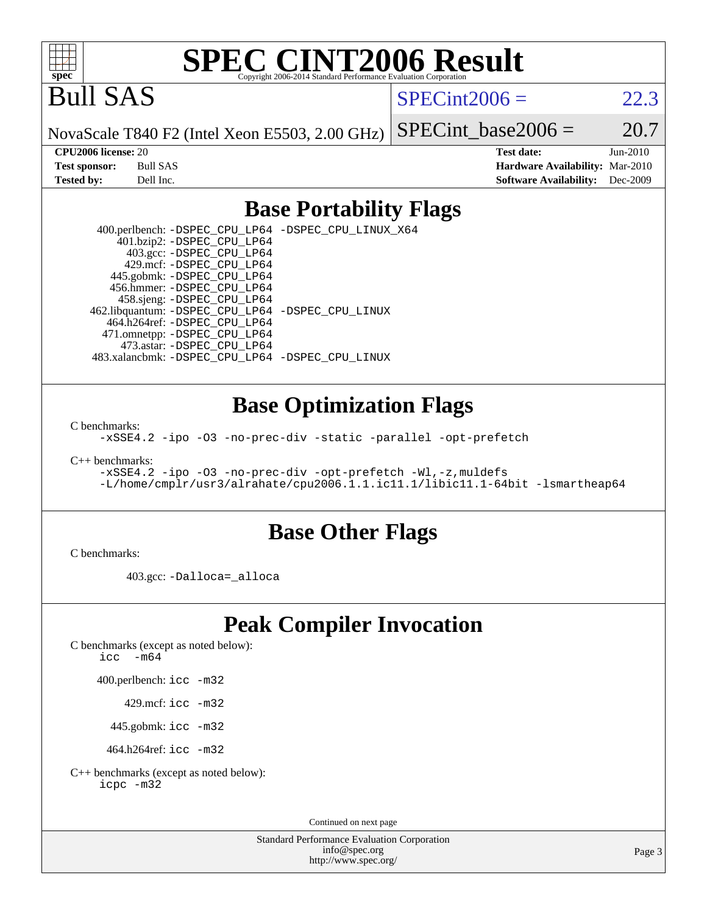

# **[SPEC CINT2006 Result](http://www.spec.org/auto/cpu2006/Docs/result-fields.html#SPECCINT2006Result)**

Bull SAS

 $SPECint2006 = 22.3$  $SPECint2006 = 22.3$ 

NovaScale T840 F2 (Intel Xeon E5503, 2.00 GHz)

SPECint base2006 =  $20.7$ 

**[CPU2006 license:](http://www.spec.org/auto/cpu2006/Docs/result-fields.html#CPU2006license)** 20 **[Test date:](http://www.spec.org/auto/cpu2006/Docs/result-fields.html#Testdate)** Jun-2010 **[Test sponsor:](http://www.spec.org/auto/cpu2006/Docs/result-fields.html#Testsponsor)** Bull SAS **[Hardware Availability:](http://www.spec.org/auto/cpu2006/Docs/result-fields.html#HardwareAvailability)** Mar-2010 **[Tested by:](http://www.spec.org/auto/cpu2006/Docs/result-fields.html#Testedby)** Dell Inc. **[Software Availability:](http://www.spec.org/auto/cpu2006/Docs/result-fields.html#SoftwareAvailability)** Dec-2009

### **[Base Portability Flags](http://www.spec.org/auto/cpu2006/Docs/result-fields.html#BasePortabilityFlags)**

 400.perlbench: [-DSPEC\\_CPU\\_LP64](http://www.spec.org/cpu2006/results/res2010q3/cpu2006-20100706-12248.flags.html#b400.perlbench_basePORTABILITY_DSPEC_CPU_LP64) [-DSPEC\\_CPU\\_LINUX\\_X64](http://www.spec.org/cpu2006/results/res2010q3/cpu2006-20100706-12248.flags.html#b400.perlbench_baseCPORTABILITY_DSPEC_CPU_LINUX_X64) 401.bzip2: [-DSPEC\\_CPU\\_LP64](http://www.spec.org/cpu2006/results/res2010q3/cpu2006-20100706-12248.flags.html#suite_basePORTABILITY401_bzip2_DSPEC_CPU_LP64) 403.gcc: [-DSPEC\\_CPU\\_LP64](http://www.spec.org/cpu2006/results/res2010q3/cpu2006-20100706-12248.flags.html#suite_basePORTABILITY403_gcc_DSPEC_CPU_LP64) 429.mcf: [-DSPEC\\_CPU\\_LP64](http://www.spec.org/cpu2006/results/res2010q3/cpu2006-20100706-12248.flags.html#suite_basePORTABILITY429_mcf_DSPEC_CPU_LP64) 445.gobmk: [-DSPEC\\_CPU\\_LP64](http://www.spec.org/cpu2006/results/res2010q3/cpu2006-20100706-12248.flags.html#suite_basePORTABILITY445_gobmk_DSPEC_CPU_LP64) 456.hmmer: [-DSPEC\\_CPU\\_LP64](http://www.spec.org/cpu2006/results/res2010q3/cpu2006-20100706-12248.flags.html#suite_basePORTABILITY456_hmmer_DSPEC_CPU_LP64) 458.sjeng: [-DSPEC\\_CPU\\_LP64](http://www.spec.org/cpu2006/results/res2010q3/cpu2006-20100706-12248.flags.html#suite_basePORTABILITY458_sjeng_DSPEC_CPU_LP64) 462.libquantum: [-DSPEC\\_CPU\\_LP64](http://www.spec.org/cpu2006/results/res2010q3/cpu2006-20100706-12248.flags.html#suite_basePORTABILITY462_libquantum_DSPEC_CPU_LP64) [-DSPEC\\_CPU\\_LINUX](http://www.spec.org/cpu2006/results/res2010q3/cpu2006-20100706-12248.flags.html#b462.libquantum_baseCPORTABILITY_DSPEC_CPU_LINUX) 464.h264ref: [-DSPEC\\_CPU\\_LP64](http://www.spec.org/cpu2006/results/res2010q3/cpu2006-20100706-12248.flags.html#suite_basePORTABILITY464_h264ref_DSPEC_CPU_LP64) 471.omnetpp: [-DSPEC\\_CPU\\_LP64](http://www.spec.org/cpu2006/results/res2010q3/cpu2006-20100706-12248.flags.html#suite_basePORTABILITY471_omnetpp_DSPEC_CPU_LP64) 473.astar: [-DSPEC\\_CPU\\_LP64](http://www.spec.org/cpu2006/results/res2010q3/cpu2006-20100706-12248.flags.html#suite_basePORTABILITY473_astar_DSPEC_CPU_LP64) 483.xalancbmk: [-DSPEC\\_CPU\\_LP64](http://www.spec.org/cpu2006/results/res2010q3/cpu2006-20100706-12248.flags.html#suite_basePORTABILITY483_xalancbmk_DSPEC_CPU_LP64) [-DSPEC\\_CPU\\_LINUX](http://www.spec.org/cpu2006/results/res2010q3/cpu2006-20100706-12248.flags.html#b483.xalancbmk_baseCXXPORTABILITY_DSPEC_CPU_LINUX)

### **[Base Optimization Flags](http://www.spec.org/auto/cpu2006/Docs/result-fields.html#BaseOptimizationFlags)**

[C benchmarks](http://www.spec.org/auto/cpu2006/Docs/result-fields.html#Cbenchmarks):

[-xSSE4.2](http://www.spec.org/cpu2006/results/res2010q3/cpu2006-20100706-12248.flags.html#user_CCbase_f-xSSE42_f91528193cf0b216347adb8b939d4107) [-ipo](http://www.spec.org/cpu2006/results/res2010q3/cpu2006-20100706-12248.flags.html#user_CCbase_f-ipo) [-O3](http://www.spec.org/cpu2006/results/res2010q3/cpu2006-20100706-12248.flags.html#user_CCbase_f-O3) [-no-prec-div](http://www.spec.org/cpu2006/results/res2010q3/cpu2006-20100706-12248.flags.html#user_CCbase_f-no-prec-div) [-static](http://www.spec.org/cpu2006/results/res2010q3/cpu2006-20100706-12248.flags.html#user_CCbase_f-static) [-parallel](http://www.spec.org/cpu2006/results/res2010q3/cpu2006-20100706-12248.flags.html#user_CCbase_f-parallel) [-opt-prefetch](http://www.spec.org/cpu2006/results/res2010q3/cpu2006-20100706-12248.flags.html#user_CCbase_f-opt-prefetch)

[C++ benchmarks:](http://www.spec.org/auto/cpu2006/Docs/result-fields.html#CXXbenchmarks)

[-xSSE4.2](http://www.spec.org/cpu2006/results/res2010q3/cpu2006-20100706-12248.flags.html#user_CXXbase_f-xSSE42_f91528193cf0b216347adb8b939d4107) [-ipo](http://www.spec.org/cpu2006/results/res2010q3/cpu2006-20100706-12248.flags.html#user_CXXbase_f-ipo) [-O3](http://www.spec.org/cpu2006/results/res2010q3/cpu2006-20100706-12248.flags.html#user_CXXbase_f-O3) [-no-prec-div](http://www.spec.org/cpu2006/results/res2010q3/cpu2006-20100706-12248.flags.html#user_CXXbase_f-no-prec-div) [-opt-prefetch](http://www.spec.org/cpu2006/results/res2010q3/cpu2006-20100706-12248.flags.html#user_CXXbase_f-opt-prefetch) [-Wl,-z,muldefs](http://www.spec.org/cpu2006/results/res2010q3/cpu2006-20100706-12248.flags.html#user_CXXbase_link_force_multiple1_74079c344b956b9658436fd1b6dd3a8a) [-L/home/cmplr/usr3/alrahate/cpu2006.1.1.ic11.1/libic11.1-64bit -lsmartheap64](http://www.spec.org/cpu2006/results/res2010q3/cpu2006-20100706-12248.flags.html#user_CXXbase_SmartHeap64_e2306cda84805d1ab360117a79ff779c)

### **[Base Other Flags](http://www.spec.org/auto/cpu2006/Docs/result-fields.html#BaseOtherFlags)**

[C benchmarks](http://www.spec.org/auto/cpu2006/Docs/result-fields.html#Cbenchmarks):

403.gcc: [-Dalloca=\\_alloca](http://www.spec.org/cpu2006/results/res2010q3/cpu2006-20100706-12248.flags.html#b403.gcc_baseEXTRA_CFLAGS_Dalloca_be3056838c12de2578596ca5467af7f3)

## **[Peak Compiler Invocation](http://www.spec.org/auto/cpu2006/Docs/result-fields.html#PeakCompilerInvocation)**

[C benchmarks \(except as noted below\)](http://www.spec.org/auto/cpu2006/Docs/result-fields.html#Cbenchmarksexceptasnotedbelow):

[icc -m64](http://www.spec.org/cpu2006/results/res2010q3/cpu2006-20100706-12248.flags.html#user_CCpeak_intel_icc_64bit_f346026e86af2a669e726fe758c88044)

400.perlbench: [icc -m32](http://www.spec.org/cpu2006/results/res2010q3/cpu2006-20100706-12248.flags.html#user_peakCCLD400_perlbench_intel_icc_32bit_a6a621f8d50482236b970c6ac5f55f93)

429.mcf: [icc -m32](http://www.spec.org/cpu2006/results/res2010q3/cpu2006-20100706-12248.flags.html#user_peakCCLD429_mcf_intel_icc_32bit_a6a621f8d50482236b970c6ac5f55f93)

445.gobmk: [icc -m32](http://www.spec.org/cpu2006/results/res2010q3/cpu2006-20100706-12248.flags.html#user_peakCCLD445_gobmk_intel_icc_32bit_a6a621f8d50482236b970c6ac5f55f93)

464.h264ref: [icc -m32](http://www.spec.org/cpu2006/results/res2010q3/cpu2006-20100706-12248.flags.html#user_peakCCLD464_h264ref_intel_icc_32bit_a6a621f8d50482236b970c6ac5f55f93)

[C++ benchmarks \(except as noted below\):](http://www.spec.org/auto/cpu2006/Docs/result-fields.html#CXXbenchmarksexceptasnotedbelow) [icpc -m32](http://www.spec.org/cpu2006/results/res2010q3/cpu2006-20100706-12248.flags.html#user_CXXpeak_intel_icpc_32bit_4e5a5ef1a53fd332b3c49e69c3330699)

Continued on next page

Standard Performance Evaluation Corporation [info@spec.org](mailto:info@spec.org) <http://www.spec.org/>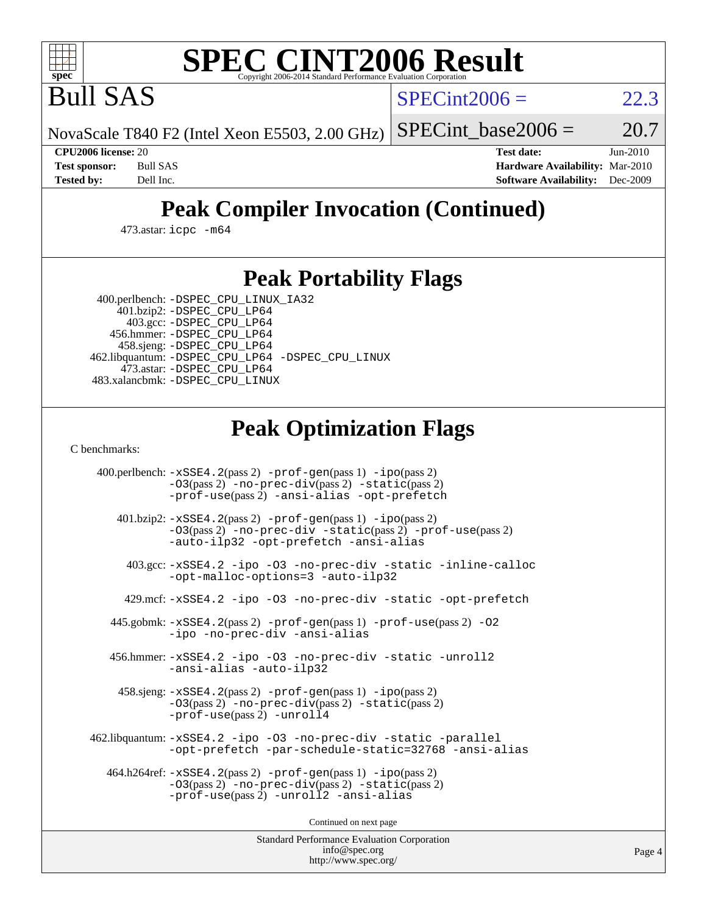

# **[SPEC CINT2006 Result](http://www.spec.org/auto/cpu2006/Docs/result-fields.html#SPECCINT2006Result)**

Bull SAS

 $SPECint2006 = 22.3$  $SPECint2006 = 22.3$ 

NovaScale T840 F2 (Intel Xeon E5503, 2.00 GHz)

SPECint base2006 =  $20.7$ 

**[CPU2006 license:](http://www.spec.org/auto/cpu2006/Docs/result-fields.html#CPU2006license)** 20 **[Test date:](http://www.spec.org/auto/cpu2006/Docs/result-fields.html#Testdate)** Jun-2010 **[Test sponsor:](http://www.spec.org/auto/cpu2006/Docs/result-fields.html#Testsponsor)** Bull SAS **[Hardware Availability:](http://www.spec.org/auto/cpu2006/Docs/result-fields.html#HardwareAvailability)** Mar-2010 **[Tested by:](http://www.spec.org/auto/cpu2006/Docs/result-fields.html#Testedby)** Dell Inc. **[Software Availability:](http://www.spec.org/auto/cpu2006/Docs/result-fields.html#SoftwareAvailability)** Dec-2009

# **[Peak Compiler Invocation \(Continued\)](http://www.spec.org/auto/cpu2006/Docs/result-fields.html#PeakCompilerInvocation)**

473.astar: [icpc -m64](http://www.spec.org/cpu2006/results/res2010q3/cpu2006-20100706-12248.flags.html#user_peakCXXLD473_astar_intel_icpc_64bit_fc66a5337ce925472a5c54ad6a0de310)

## **[Peak Portability Flags](http://www.spec.org/auto/cpu2006/Docs/result-fields.html#PeakPortabilityFlags)**

400.perlbench: [-DSPEC\\_CPU\\_LINUX\\_IA32](http://www.spec.org/cpu2006/results/res2010q3/cpu2006-20100706-12248.flags.html#b400.perlbench_peakCPORTABILITY_DSPEC_CPU_LINUX_IA32)

 401.bzip2: [-DSPEC\\_CPU\\_LP64](http://www.spec.org/cpu2006/results/res2010q3/cpu2006-20100706-12248.flags.html#suite_peakPORTABILITY401_bzip2_DSPEC_CPU_LP64) 403.gcc: [-DSPEC\\_CPU\\_LP64](http://www.spec.org/cpu2006/results/res2010q3/cpu2006-20100706-12248.flags.html#suite_peakPORTABILITY403_gcc_DSPEC_CPU_LP64) 456.hmmer: [-DSPEC\\_CPU\\_LP64](http://www.spec.org/cpu2006/results/res2010q3/cpu2006-20100706-12248.flags.html#suite_peakPORTABILITY456_hmmer_DSPEC_CPU_LP64) 458.sjeng: [-DSPEC\\_CPU\\_LP64](http://www.spec.org/cpu2006/results/res2010q3/cpu2006-20100706-12248.flags.html#suite_peakPORTABILITY458_sjeng_DSPEC_CPU_LP64) 462.libquantum: [-DSPEC\\_CPU\\_LP64](http://www.spec.org/cpu2006/results/res2010q3/cpu2006-20100706-12248.flags.html#suite_peakPORTABILITY462_libquantum_DSPEC_CPU_LP64) [-DSPEC\\_CPU\\_LINUX](http://www.spec.org/cpu2006/results/res2010q3/cpu2006-20100706-12248.flags.html#b462.libquantum_peakCPORTABILITY_DSPEC_CPU_LINUX) 473.astar: [-DSPEC\\_CPU\\_LP64](http://www.spec.org/cpu2006/results/res2010q3/cpu2006-20100706-12248.flags.html#suite_peakPORTABILITY473_astar_DSPEC_CPU_LP64) 483.xalancbmk: [-DSPEC\\_CPU\\_LINUX](http://www.spec.org/cpu2006/results/res2010q3/cpu2006-20100706-12248.flags.html#b483.xalancbmk_peakCXXPORTABILITY_DSPEC_CPU_LINUX)

# **[Peak Optimization Flags](http://www.spec.org/auto/cpu2006/Docs/result-fields.html#PeakOptimizationFlags)**

[C benchmarks](http://www.spec.org/auto/cpu2006/Docs/result-fields.html#Cbenchmarks):

 400.perlbench: [-xSSE4.2](http://www.spec.org/cpu2006/results/res2010q3/cpu2006-20100706-12248.flags.html#user_peakPASS2_CFLAGSPASS2_LDCFLAGS400_perlbench_f-xSSE42_f91528193cf0b216347adb8b939d4107)(pass 2) [-prof-gen](http://www.spec.org/cpu2006/results/res2010q3/cpu2006-20100706-12248.flags.html#user_peakPASS1_CFLAGSPASS1_LDCFLAGS400_perlbench_prof_gen_e43856698f6ca7b7e442dfd80e94a8fc)(pass 1) [-ipo](http://www.spec.org/cpu2006/results/res2010q3/cpu2006-20100706-12248.flags.html#user_peakPASS2_CFLAGSPASS2_LDCFLAGS400_perlbench_f-ipo)(pass 2) [-O3](http://www.spec.org/cpu2006/results/res2010q3/cpu2006-20100706-12248.flags.html#user_peakPASS2_CFLAGSPASS2_LDCFLAGS400_perlbench_f-O3)(pass 2) [-no-prec-div](http://www.spec.org/cpu2006/results/res2010q3/cpu2006-20100706-12248.flags.html#user_peakPASS2_CFLAGSPASS2_LDCFLAGS400_perlbench_f-no-prec-div)(pass 2) [-static](http://www.spec.org/cpu2006/results/res2010q3/cpu2006-20100706-12248.flags.html#user_peakPASS2_CFLAGSPASS2_LDCFLAGS400_perlbench_f-static)(pass 2) [-prof-use](http://www.spec.org/cpu2006/results/res2010q3/cpu2006-20100706-12248.flags.html#user_peakPASS2_CFLAGSPASS2_LDCFLAGS400_perlbench_prof_use_bccf7792157ff70d64e32fe3e1250b55)(pass 2) [-ansi-alias](http://www.spec.org/cpu2006/results/res2010q3/cpu2006-20100706-12248.flags.html#user_peakCOPTIMIZE400_perlbench_f-ansi-alias) [-opt-prefetch](http://www.spec.org/cpu2006/results/res2010q3/cpu2006-20100706-12248.flags.html#user_peakCOPTIMIZE400_perlbench_f-opt-prefetch) 401.bzip2: [-xSSE4.2](http://www.spec.org/cpu2006/results/res2010q3/cpu2006-20100706-12248.flags.html#user_peakPASS2_CFLAGSPASS2_LDCFLAGS401_bzip2_f-xSSE42_f91528193cf0b216347adb8b939d4107)(pass 2) [-prof-gen](http://www.spec.org/cpu2006/results/res2010q3/cpu2006-20100706-12248.flags.html#user_peakPASS1_CFLAGSPASS1_LDCFLAGS401_bzip2_prof_gen_e43856698f6ca7b7e442dfd80e94a8fc)(pass 1) [-ipo](http://www.spec.org/cpu2006/results/res2010q3/cpu2006-20100706-12248.flags.html#user_peakPASS2_CFLAGSPASS2_LDCFLAGS401_bzip2_f-ipo)(pass 2) [-O3](http://www.spec.org/cpu2006/results/res2010q3/cpu2006-20100706-12248.flags.html#user_peakPASS2_CFLAGSPASS2_LDCFLAGS401_bzip2_f-O3)(pass 2) [-no-prec-div](http://www.spec.org/cpu2006/results/res2010q3/cpu2006-20100706-12248.flags.html#user_peakCOPTIMIZEPASS2_CFLAGSPASS2_LDCFLAGS401_bzip2_f-no-prec-div) [-static](http://www.spec.org/cpu2006/results/res2010q3/cpu2006-20100706-12248.flags.html#user_peakPASS2_CFLAGSPASS2_LDCFLAGS401_bzip2_f-static)(pass 2) [-prof-use](http://www.spec.org/cpu2006/results/res2010q3/cpu2006-20100706-12248.flags.html#user_peakPASS2_CFLAGSPASS2_LDCFLAGS401_bzip2_prof_use_bccf7792157ff70d64e32fe3e1250b55)(pass 2) [-auto-ilp32](http://www.spec.org/cpu2006/results/res2010q3/cpu2006-20100706-12248.flags.html#user_peakCOPTIMIZE401_bzip2_f-auto-ilp32) [-opt-prefetch](http://www.spec.org/cpu2006/results/res2010q3/cpu2006-20100706-12248.flags.html#user_peakCOPTIMIZE401_bzip2_f-opt-prefetch) [-ansi-alias](http://www.spec.org/cpu2006/results/res2010q3/cpu2006-20100706-12248.flags.html#user_peakCOPTIMIZE401_bzip2_f-ansi-alias) 403.gcc: [-xSSE4.2](http://www.spec.org/cpu2006/results/res2010q3/cpu2006-20100706-12248.flags.html#user_peakCOPTIMIZE403_gcc_f-xSSE42_f91528193cf0b216347adb8b939d4107) [-ipo](http://www.spec.org/cpu2006/results/res2010q3/cpu2006-20100706-12248.flags.html#user_peakCOPTIMIZE403_gcc_f-ipo) [-O3](http://www.spec.org/cpu2006/results/res2010q3/cpu2006-20100706-12248.flags.html#user_peakCOPTIMIZE403_gcc_f-O3) [-no-prec-div](http://www.spec.org/cpu2006/results/res2010q3/cpu2006-20100706-12248.flags.html#user_peakCOPTIMIZE403_gcc_f-no-prec-div) [-static](http://www.spec.org/cpu2006/results/res2010q3/cpu2006-20100706-12248.flags.html#user_peakCOPTIMIZE403_gcc_f-static) [-inline-calloc](http://www.spec.org/cpu2006/results/res2010q3/cpu2006-20100706-12248.flags.html#user_peakCOPTIMIZE403_gcc_f-inline-calloc) [-opt-malloc-options=3](http://www.spec.org/cpu2006/results/res2010q3/cpu2006-20100706-12248.flags.html#user_peakCOPTIMIZE403_gcc_f-opt-malloc-options_13ab9b803cf986b4ee62f0a5998c2238) [-auto-ilp32](http://www.spec.org/cpu2006/results/res2010q3/cpu2006-20100706-12248.flags.html#user_peakCOPTIMIZE403_gcc_f-auto-ilp32) 429.mcf: [-xSSE4.2](http://www.spec.org/cpu2006/results/res2010q3/cpu2006-20100706-12248.flags.html#user_peakCOPTIMIZE429_mcf_f-xSSE42_f91528193cf0b216347adb8b939d4107) [-ipo](http://www.spec.org/cpu2006/results/res2010q3/cpu2006-20100706-12248.flags.html#user_peakCOPTIMIZE429_mcf_f-ipo) [-O3](http://www.spec.org/cpu2006/results/res2010q3/cpu2006-20100706-12248.flags.html#user_peakCOPTIMIZE429_mcf_f-O3) [-no-prec-div](http://www.spec.org/cpu2006/results/res2010q3/cpu2006-20100706-12248.flags.html#user_peakCOPTIMIZE429_mcf_f-no-prec-div) [-static](http://www.spec.org/cpu2006/results/res2010q3/cpu2006-20100706-12248.flags.html#user_peakCOPTIMIZE429_mcf_f-static) [-opt-prefetch](http://www.spec.org/cpu2006/results/res2010q3/cpu2006-20100706-12248.flags.html#user_peakCOPTIMIZE429_mcf_f-opt-prefetch) 445.gobmk: [-xSSE4.2](http://www.spec.org/cpu2006/results/res2010q3/cpu2006-20100706-12248.flags.html#user_peakPASS2_CFLAGSPASS2_LDCFLAGS445_gobmk_f-xSSE42_f91528193cf0b216347adb8b939d4107)(pass 2) [-prof-gen](http://www.spec.org/cpu2006/results/res2010q3/cpu2006-20100706-12248.flags.html#user_peakPASS1_CFLAGSPASS1_LDCFLAGS445_gobmk_prof_gen_e43856698f6ca7b7e442dfd80e94a8fc)(pass 1) [-prof-use](http://www.spec.org/cpu2006/results/res2010q3/cpu2006-20100706-12248.flags.html#user_peakPASS2_CFLAGSPASS2_LDCFLAGS445_gobmk_prof_use_bccf7792157ff70d64e32fe3e1250b55)(pass 2) [-O2](http://www.spec.org/cpu2006/results/res2010q3/cpu2006-20100706-12248.flags.html#user_peakCOPTIMIZE445_gobmk_f-O2) [-ipo](http://www.spec.org/cpu2006/results/res2010q3/cpu2006-20100706-12248.flags.html#user_peakCOPTIMIZE445_gobmk_f-ipo) [-no-prec-div](http://www.spec.org/cpu2006/results/res2010q3/cpu2006-20100706-12248.flags.html#user_peakCOPTIMIZE445_gobmk_f-no-prec-div) [-ansi-alias](http://www.spec.org/cpu2006/results/res2010q3/cpu2006-20100706-12248.flags.html#user_peakCOPTIMIZE445_gobmk_f-ansi-alias) 456.hmmer: [-xSSE4.2](http://www.spec.org/cpu2006/results/res2010q3/cpu2006-20100706-12248.flags.html#user_peakCOPTIMIZE456_hmmer_f-xSSE42_f91528193cf0b216347adb8b939d4107) [-ipo](http://www.spec.org/cpu2006/results/res2010q3/cpu2006-20100706-12248.flags.html#user_peakCOPTIMIZE456_hmmer_f-ipo) [-O3](http://www.spec.org/cpu2006/results/res2010q3/cpu2006-20100706-12248.flags.html#user_peakCOPTIMIZE456_hmmer_f-O3) [-no-prec-div](http://www.spec.org/cpu2006/results/res2010q3/cpu2006-20100706-12248.flags.html#user_peakCOPTIMIZE456_hmmer_f-no-prec-div) [-static](http://www.spec.org/cpu2006/results/res2010q3/cpu2006-20100706-12248.flags.html#user_peakCOPTIMIZE456_hmmer_f-static) [-unroll2](http://www.spec.org/cpu2006/results/res2010q3/cpu2006-20100706-12248.flags.html#user_peakCOPTIMIZE456_hmmer_f-unroll_784dae83bebfb236979b41d2422d7ec2) [-ansi-alias](http://www.spec.org/cpu2006/results/res2010q3/cpu2006-20100706-12248.flags.html#user_peakCOPTIMIZE456_hmmer_f-ansi-alias) [-auto-ilp32](http://www.spec.org/cpu2006/results/res2010q3/cpu2006-20100706-12248.flags.html#user_peakCOPTIMIZE456_hmmer_f-auto-ilp32) 458.sjeng: [-xSSE4.2](http://www.spec.org/cpu2006/results/res2010q3/cpu2006-20100706-12248.flags.html#user_peakPASS2_CFLAGSPASS2_LDCFLAGS458_sjeng_f-xSSE42_f91528193cf0b216347adb8b939d4107)(pass 2) [-prof-gen](http://www.spec.org/cpu2006/results/res2010q3/cpu2006-20100706-12248.flags.html#user_peakPASS1_CFLAGSPASS1_LDCFLAGS458_sjeng_prof_gen_e43856698f6ca7b7e442dfd80e94a8fc)(pass 1) [-ipo](http://www.spec.org/cpu2006/results/res2010q3/cpu2006-20100706-12248.flags.html#user_peakPASS2_CFLAGSPASS2_LDCFLAGS458_sjeng_f-ipo)(pass 2) [-O3](http://www.spec.org/cpu2006/results/res2010q3/cpu2006-20100706-12248.flags.html#user_peakPASS2_CFLAGSPASS2_LDCFLAGS458_sjeng_f-O3)(pass 2) [-no-prec-div](http://www.spec.org/cpu2006/results/res2010q3/cpu2006-20100706-12248.flags.html#user_peakPASS2_CFLAGSPASS2_LDCFLAGS458_sjeng_f-no-prec-div)(pass 2) [-static](http://www.spec.org/cpu2006/results/res2010q3/cpu2006-20100706-12248.flags.html#user_peakPASS2_CFLAGSPASS2_LDCFLAGS458_sjeng_f-static)(pass 2) [-prof-use](http://www.spec.org/cpu2006/results/res2010q3/cpu2006-20100706-12248.flags.html#user_peakPASS2_CFLAGSPASS2_LDCFLAGS458_sjeng_prof_use_bccf7792157ff70d64e32fe3e1250b55)(pass 2) [-unroll4](http://www.spec.org/cpu2006/results/res2010q3/cpu2006-20100706-12248.flags.html#user_peakCOPTIMIZE458_sjeng_f-unroll_4e5e4ed65b7fd20bdcd365bec371b81f) 462.libquantum: [-xSSE4.2](http://www.spec.org/cpu2006/results/res2010q3/cpu2006-20100706-12248.flags.html#user_peakCOPTIMIZE462_libquantum_f-xSSE42_f91528193cf0b216347adb8b939d4107) [-ipo](http://www.spec.org/cpu2006/results/res2010q3/cpu2006-20100706-12248.flags.html#user_peakCOPTIMIZE462_libquantum_f-ipo) [-O3](http://www.spec.org/cpu2006/results/res2010q3/cpu2006-20100706-12248.flags.html#user_peakCOPTIMIZE462_libquantum_f-O3) [-no-prec-div](http://www.spec.org/cpu2006/results/res2010q3/cpu2006-20100706-12248.flags.html#user_peakCOPTIMIZE462_libquantum_f-no-prec-div) [-static](http://www.spec.org/cpu2006/results/res2010q3/cpu2006-20100706-12248.flags.html#user_peakCOPTIMIZE462_libquantum_f-static) [-parallel](http://www.spec.org/cpu2006/results/res2010q3/cpu2006-20100706-12248.flags.html#user_peakCOPTIMIZE462_libquantum_f-parallel) [-opt-prefetch](http://www.spec.org/cpu2006/results/res2010q3/cpu2006-20100706-12248.flags.html#user_peakCOPTIMIZE462_libquantum_f-opt-prefetch) [-par-schedule-static=32768](http://www.spec.org/cpu2006/results/res2010q3/cpu2006-20100706-12248.flags.html#user_peakCOPTIMIZE462_libquantum_f-par-schedule_9386bcd99ba64e99ee01d1aafefddd14) [-ansi-alias](http://www.spec.org/cpu2006/results/res2010q3/cpu2006-20100706-12248.flags.html#user_peakCOPTIMIZE462_libquantum_f-ansi-alias) 464.h264ref: [-xSSE4.2](http://www.spec.org/cpu2006/results/res2010q3/cpu2006-20100706-12248.flags.html#user_peakPASS2_CFLAGSPASS2_LDCFLAGS464_h264ref_f-xSSE42_f91528193cf0b216347adb8b939d4107)(pass 2) [-prof-gen](http://www.spec.org/cpu2006/results/res2010q3/cpu2006-20100706-12248.flags.html#user_peakPASS1_CFLAGSPASS1_LDCFLAGS464_h264ref_prof_gen_e43856698f6ca7b7e442dfd80e94a8fc)(pass 1) [-ipo](http://www.spec.org/cpu2006/results/res2010q3/cpu2006-20100706-12248.flags.html#user_peakPASS2_CFLAGSPASS2_LDCFLAGS464_h264ref_f-ipo)(pass 2) [-O3](http://www.spec.org/cpu2006/results/res2010q3/cpu2006-20100706-12248.flags.html#user_peakPASS2_CFLAGSPASS2_LDCFLAGS464_h264ref_f-O3)(pass 2) [-no-prec-div](http://www.spec.org/cpu2006/results/res2010q3/cpu2006-20100706-12248.flags.html#user_peakPASS2_CFLAGSPASS2_LDCFLAGS464_h264ref_f-no-prec-div)(pass 2) [-static](http://www.spec.org/cpu2006/results/res2010q3/cpu2006-20100706-12248.flags.html#user_peakPASS2_CFLAGSPASS2_LDCFLAGS464_h264ref_f-static)(pass 2) [-prof-use](http://www.spec.org/cpu2006/results/res2010q3/cpu2006-20100706-12248.flags.html#user_peakPASS2_CFLAGSPASS2_LDCFLAGS464_h264ref_prof_use_bccf7792157ff70d64e32fe3e1250b55)(pass 2) [-unroll2](http://www.spec.org/cpu2006/results/res2010q3/cpu2006-20100706-12248.flags.html#user_peakCOPTIMIZE464_h264ref_f-unroll_784dae83bebfb236979b41d2422d7ec2) [-ansi-alias](http://www.spec.org/cpu2006/results/res2010q3/cpu2006-20100706-12248.flags.html#user_peakCOPTIMIZE464_h264ref_f-ansi-alias)

Continued on next page

Standard Performance Evaluation Corporation [info@spec.org](mailto:info@spec.org) <http://www.spec.org/>